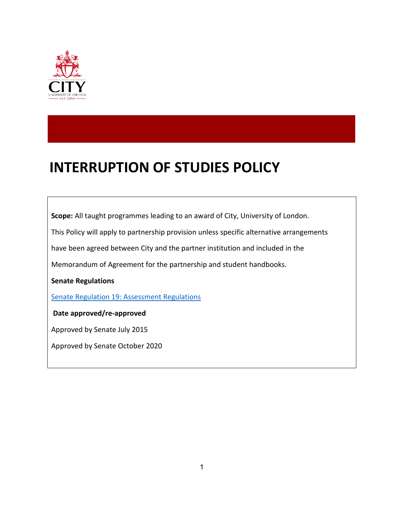

# **INTERRUPTION OF STUDIES POLICY**

**Scope:** All taught programmes leading to an award of City, University of London.

This Policy will apply to partnership provision unless specific alternative arrangements

have been agreed between City and the partner institution and included in the

Memorandum of Agreement for the partnership and student handbooks.

**Senate Regulations**

[Senate Regulation 19: Assessment Regulations](https://www.city.ac.uk/__data/assets/pdf_file/0007/453652/s19.pdf)

**Date approved/re-approved**

Approved by Senate July 2015

Approved by Senate October 2020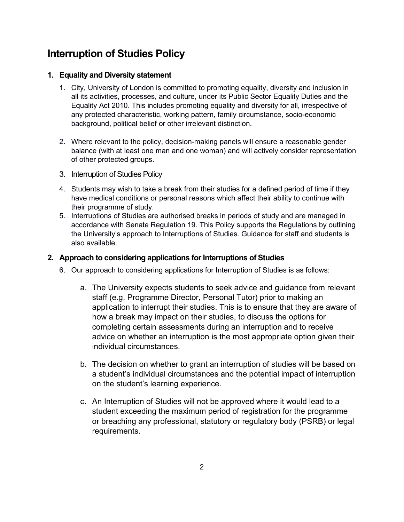# **Interruption of Studies Policy**

## **1. Equality and Diversity statement**

- 1. City, University of London is committed to promoting equality, diversity and inclusion in all its activities, processes, and culture, under its Public Sector Equality Duties and the Equality Act 2010. This includes promoting equality and diversity for all, irrespective of any protected characteristic, working pattern, family circumstance, socio-economic background, political belief or other irrelevant distinction.
- 2. Where relevant to the policy, decision-making panels will ensure a reasonable gender balance (with at least one man and one woman) and will actively consider representation of other protected groups.
- 3. Interruption of Studies Policy
- 4. Students may wish to take a break from their studies for a defined period of time if they have medical conditions or personal reasons which affect their ability to continue with their programme of study.
- 5. Interruptions of Studies are authorised breaks in periods of study and are managed in accordance with Senate Regulation 19. This Policy supports the Regulations by outlining the University's approach to Interruptions of Studies. Guidance for staff and students is also available.

## **2. Approach to considering applications for Interruptions of Studies**

- 6. Our approach to considering applications for Interruption of Studies is as follows:
	- a. The University expects students to seek advice and guidance from relevant staff (e.g. Programme Director, Personal Tutor) prior to making an application to interrupt their studies. This is to ensure that they are aware of how a break may impact on their studies, to discuss the options for completing certain assessments during an interruption and to receive advice on whether an interruption is the most appropriate option given their individual circumstances.
	- b. The decision on whether to grant an interruption of studies will be based on a student's individual circumstances and the potential impact of interruption on the student's learning experience.
	- c. An Interruption of Studies will not be approved where it would lead to a student exceeding the maximum period of registration for the programme or breaching any professional, statutory or regulatory body (PSRB) or legal requirements.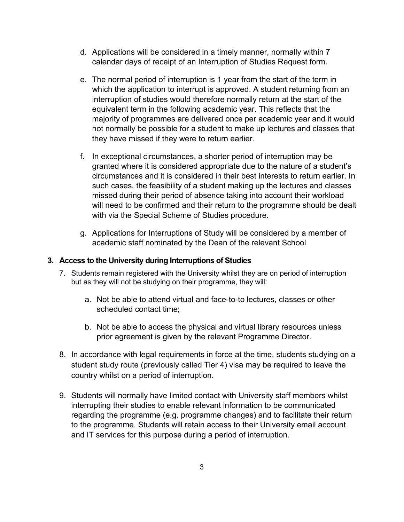- d. Applications will be considered in a timely manner, normally within 7 calendar days of receipt of an Interruption of Studies Request form.
- e. The normal period of interruption is 1 year from the start of the term in which the application to interrupt is approved. A student returning from an interruption of studies would therefore normally return at the start of the equivalent term in the following academic year. This reflects that the majority of programmes are delivered once per academic year and it would not normally be possible for a student to make up lectures and classes that they have missed if they were to return earlier.
- f. In exceptional circumstances, a shorter period of interruption may be granted where it is considered appropriate due to the nature of a student's circumstances and it is considered in their best interests to return earlier. In such cases, the feasibility of a student making up the lectures and classes missed during their period of absence taking into account their workload will need to be confirmed and their return to the programme should be dealt with via the Special Scheme of Studies procedure.
- g. Applications for Interruptions of Study will be considered by a member of academic staff nominated by the Dean of the relevant School

#### **3. Access to the University during Interruptions of Studies**

- 7. Students remain registered with the University whilst they are on period of interruption but as they will not be studying on their programme, they will:
	- a. Not be able to attend virtual and face-to-to lectures, classes or other scheduled contact time;
	- b. Not be able to access the physical and virtual library resources unless prior agreement is given by the relevant Programme Director.
- 8. In accordance with legal requirements in force at the time, students studying on a student study route (previously called Tier 4) visa may be required to leave the country whilst on a period of interruption.
- 9. Students will normally have limited contact with University staff members whilst interrupting their studies to enable relevant information to be communicated regarding the programme (e.g. programme changes) and to facilitate their return to the programme. Students will retain access to their University email account and IT services for this purpose during a period of interruption.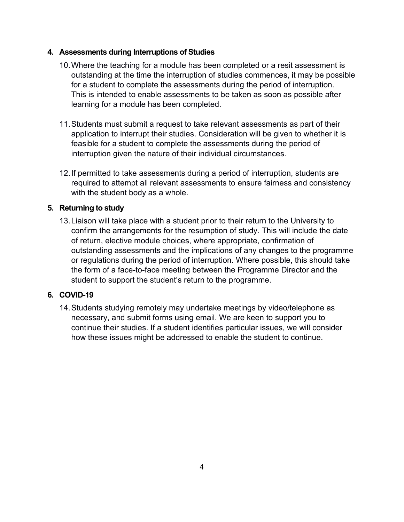## **4. Assessments during Interruptions of Studies**

- 10.Where the teaching for a module has been completed or a resit assessment is outstanding at the time the interruption of studies commences, it may be possible for a student to complete the assessments during the period of interruption. This is intended to enable assessments to be taken as soon as possible after learning for a module has been completed.
- 11.Students must submit a request to take relevant assessments as part of their application to interrupt their studies. Consideration will be given to whether it is feasible for a student to complete the assessments during the period of interruption given the nature of their individual circumstances.
- 12.If permitted to take assessments during a period of interruption, students are required to attempt all relevant assessments to ensure fairness and consistency with the student body as a whole.

# **5. Returning to study**

13.Liaison will take place with a student prior to their return to the University to confirm the arrangements for the resumption of study. This will include the date of return, elective module choices, where appropriate, confirmation of outstanding assessments and the implications of any changes to the programme or regulations during the period of interruption. Where possible, this should take the form of a face-to-face meeting between the Programme Director and the student to support the student's return to the programme.

# **6. COVID-19**

14.Students studying remotely may undertake meetings by video/telephone as necessary, and submit forms using email. We are keen to support you to continue their studies. If a student identifies particular issues, we will consider how these issues might be addressed to enable the student to continue.